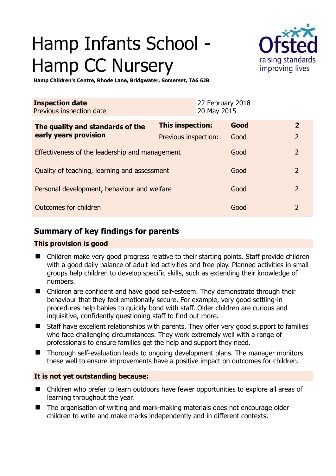# Hamp Infants School - Hamp CC Nursery



**Hamp Children's Centre, Rhode Lane, Bridgwater, Somerset, TA6 6JB** 

| <b>Inspection date</b><br>Previous inspection date        |                      | 22 February 2018<br>20 May 2015 |      |                |
|-----------------------------------------------------------|----------------------|---------------------------------|------|----------------|
| The quality and standards of the<br>early years provision | This inspection:     |                                 | Good | $\overline{2}$ |
|                                                           | Previous inspection: |                                 | Good | $\overline{2}$ |
| Effectiveness of the leadership and management            |                      |                                 | Good | $\overline{2}$ |
| Quality of teaching, learning and assessment              |                      |                                 | Good | $\overline{2}$ |
| Personal development, behaviour and welfare               |                      |                                 | Good | $\mathcal{P}$  |
| Outcomes for children                                     |                      |                                 | Good | $\overline{2}$ |

# **Summary of key findings for parents**

# **This provision is good**

- Children make very good progress relative to their starting points. Staff provide children with a good daily balance of adult-led activities and free play. Planned activities in small groups help children to develop specific skills, such as extending their knowledge of numbers.
- Children are confident and have good self-esteem. They demonstrate through their behaviour that they feel emotionally secure. For example, very good settling-in procedures help babies to quickly bond with staff. Older children are curious and inquisitive, confidently questioning staff to find out more.
- Staff have excellent relationships with parents. They offer very good support to families who face challenging circumstances. They work extremely well with a range of professionals to ensure families get the help and support they need.
- Thorough self-evaluation leads to ongoing development plans. The manager monitors these well to ensure improvements have a positive impact on outcomes for children.

# **It is not yet outstanding because:**

- Children who prefer to learn outdoors have fewer opportunities to explore all areas of learning throughout the year.
- The organisation of writing and mark-making materials does not encourage older children to write and make marks independently and in different contexts.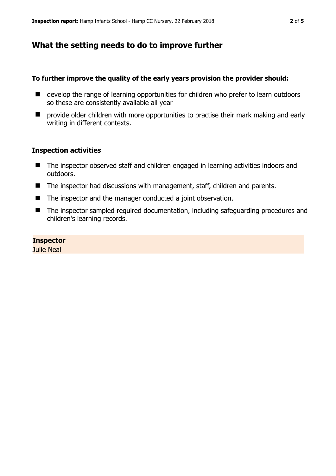# **What the setting needs to do to improve further**

## **To further improve the quality of the early years provision the provider should:**

- develop the range of learning opportunities for children who prefer to learn outdoors so these are consistently available all year
- $\blacksquare$  provide older children with more opportunities to practise their mark making and early writing in different contexts.

## **Inspection activities**

- The inspector observed staff and children engaged in learning activities indoors and outdoors.
- The inspector had discussions with management, staff, children and parents.
- The inspector and the manager conducted a joint observation.
- The inspector sampled required documentation, including safeguarding procedures and children's learning records.

## **Inspector**

Julie Neal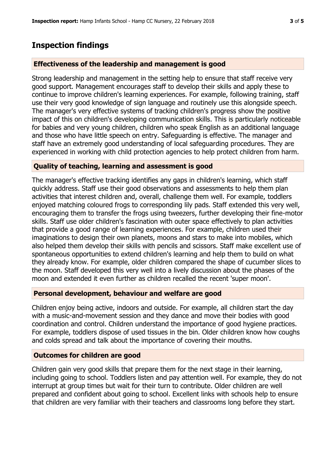# **Inspection findings**

#### **Effectiveness of the leadership and management is good**

Strong leadership and management in the setting help to ensure that staff receive very good support. Management encourages staff to develop their skills and apply these to continue to improve children's learning experiences. For example, following training, staff use their very good knowledge of sign language and routinely use this alongside speech. The manager's very effective systems of tracking children's progress show the positive impact of this on children's developing communication skills. This is particularly noticeable for babies and very young children, children who speak English as an additional language and those who have little speech on entry. Safeguarding is effective. The manager and staff have an extremely good understanding of local safeguarding procedures. They are experienced in working with child protection agencies to help protect children from harm.

### **Quality of teaching, learning and assessment is good**

The manager's effective tracking identifies any gaps in children's learning, which staff quickly address. Staff use their good observations and assessments to help them plan activities that interest children and, overall, challenge them well. For example, toddlers enjoyed matching coloured frogs to corresponding lily pads. Staff extended this very well, encouraging them to transfer the frogs using tweezers, further developing their fine-motor skills. Staff use older children's fascination with outer space effectively to plan activities that provide a good range of learning experiences. For example, children used their imaginations to design their own planets, moons and stars to make into mobiles, which also helped them develop their skills with pencils and scissors. Staff make excellent use of spontaneous opportunities to extend children's learning and help them to build on what they already know. For example, older children compared the shape of cucumber slices to the moon. Staff developed this very well into a lively discussion about the phases of the moon and extended it even further as children recalled the recent 'super moon'.

### **Personal development, behaviour and welfare are good**

Children enjoy being active, indoors and outside. For example, all children start the day with a music-and-movement session and they dance and move their bodies with good coordination and control. Children understand the importance of good hygiene practices. For example, toddlers dispose of used tissues in the bin. Older children know how coughs and colds spread and talk about the importance of covering their mouths.

#### **Outcomes for children are good**

Children gain very good skills that prepare them for the next stage in their learning, including going to school. Toddlers listen and pay attention well. For example, they do not interrupt at group times but wait for their turn to contribute. Older children are well prepared and confident about going to school. Excellent links with schools help to ensure that children are very familiar with their teachers and classrooms long before they start.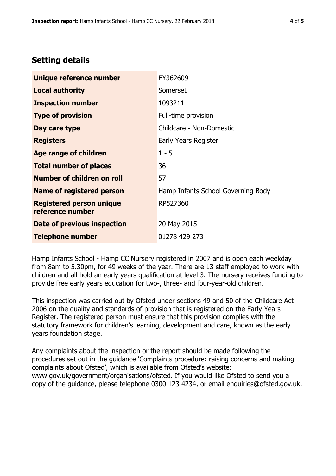# **Setting details**

| Unique reference number                             | EY362609                           |  |
|-----------------------------------------------------|------------------------------------|--|
| <b>Local authority</b>                              | Somerset                           |  |
| <b>Inspection number</b>                            | 1093211                            |  |
| <b>Type of provision</b>                            | Full-time provision                |  |
| Day care type                                       | Childcare - Non-Domestic           |  |
| <b>Registers</b>                                    | Early Years Register               |  |
| <b>Age range of children</b>                        | $1 - 5$                            |  |
| <b>Total number of places</b>                       | 36                                 |  |
| Number of children on roll                          | 57                                 |  |
| Name of registered person                           | Hamp Infants School Governing Body |  |
| <b>Registered person unique</b><br>reference number | RP527360                           |  |
| <b>Date of previous inspection</b>                  | 20 May 2015                        |  |
| <b>Telephone number</b>                             | 01278 429 273                      |  |

Hamp Infants School - Hamp CC Nursery registered in 2007 and is open each weekday from 8am to 5.30pm, for 49 weeks of the year. There are 13 staff employed to work with children and all hold an early years qualification at level 3. The nursery receives funding to provide free early years education for two-, three- and four-year-old children.

This inspection was carried out by Ofsted under sections 49 and 50 of the Childcare Act 2006 on the quality and standards of provision that is registered on the Early Years Register. The registered person must ensure that this provision complies with the statutory framework for children's learning, development and care, known as the early years foundation stage.

Any complaints about the inspection or the report should be made following the procedures set out in the guidance 'Complaints procedure: raising concerns and making complaints about Ofsted', which is available from Ofsted's website: www.gov.uk/government/organisations/ofsted. If you would like Ofsted to send you a copy of the guidance, please telephone 0300 123 4234, or email enquiries@ofsted.gov.uk.